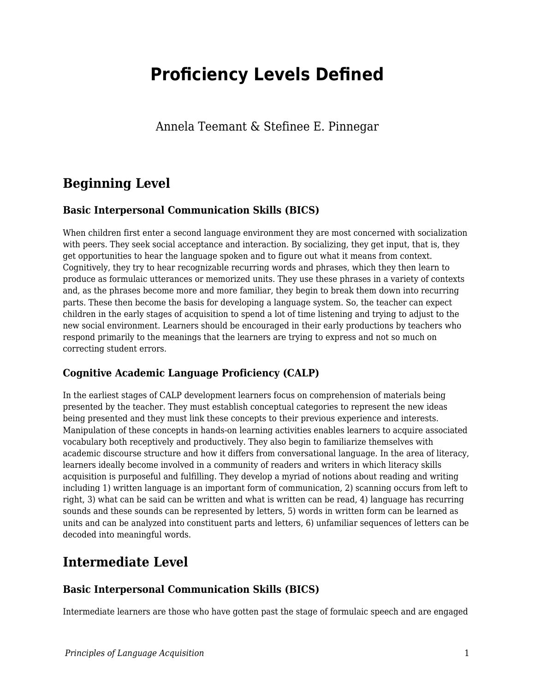# **Proficiency Levels Defined**

Annela Teemant & Stefinee E. Pinnegar

# **Beginning Level**

#### **Basic Interpersonal Communication Skills (BICS)**

When children first enter a second language environment they are most concerned with socialization with peers. They seek social acceptance and interaction. By socializing, they get input, that is, they get opportunities to hear the language spoken and to figure out what it means from context. Cognitively, they try to hear recognizable recurring words and phrases, which they then learn to produce as formulaic utterances or memorized units. They use these phrases in a variety of contexts and, as the phrases become more and more familiar, they begin to break them down into recurring parts. These then become the basis for developing a language system. So, the teacher can expect children in the early stages of acquisition to spend a lot of time listening and trying to adjust to the new social environment. Learners should be encouraged in their early productions by teachers who respond primarily to the meanings that the learners are trying to express and not so much on correcting student errors.

#### **Cognitive Academic Language Proficiency (CALP)**

In the earliest stages of CALP development learners focus on comprehension of materials being presented by the teacher. They must establish conceptual categories to represent the new ideas being presented and they must link these concepts to their previous experience and interests. Manipulation of these concepts in hands-on learning activities enables learners to acquire associated vocabulary both receptively and productively. They also begin to familiarize themselves with academic discourse structure and how it differs from conversational language. In the area of literacy, learners ideally become involved in a community of readers and writers in which literacy skills acquisition is purposeful and fulfilling. They develop a myriad of notions about reading and writing including 1) written language is an important form of communication, 2) scanning occurs from left to right, 3) what can be said can be written and what is written can be read, 4) language has recurring sounds and these sounds can be represented by letters, 5) words in written form can be learned as units and can be analyzed into constituent parts and letters, 6) unfamiliar sequences of letters can be decoded into meaningful words.

### **Intermediate Level**

#### **Basic Interpersonal Communication Skills (BICS)**

Intermediate learners are those who have gotten past the stage of formulaic speech and are engaged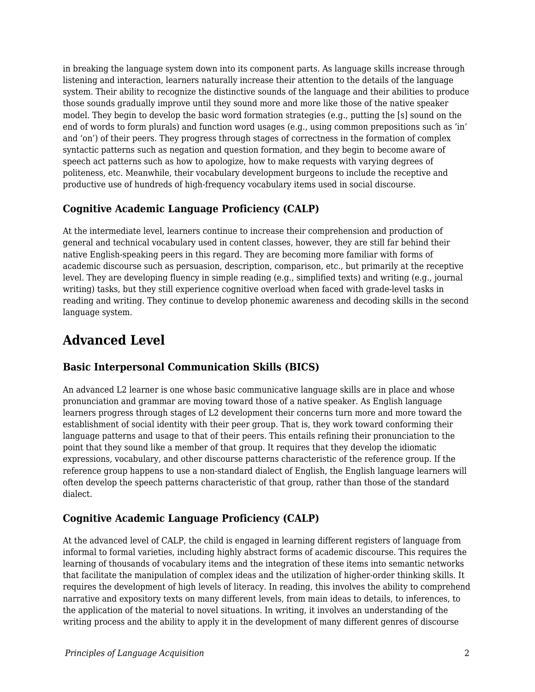in breaking the language system down into its component parts. As language skills increase through listening and interaction, learners naturally increase their attention to the details of the language system. Their ability to recognize the distinctive sounds of the language and their abilities to produce those sounds gradually improve until they sound more and more like those of the native speaker model. They begin to develop the basic word formation strategies (e.g., putting the [s] sound on the end of words to form plurals) and function word usages (e.g., using common prepositions such as 'in' and 'on') of their peers. They progress through stages of correctness in the formation of complex syntactic patterns such as negation and question formation, and they begin to become aware of speech act patterns such as how to apologize, how to make requests with varying degrees of politeness, etc. Meanwhile, their vocabulary development burgeons to include the receptive and productive use of hundreds of high-frequency vocabulary items used in social discourse.

### **Cognitive Academic Language Proficiency (CALP)**

At the intermediate level, learners continue to increase their comprehension and production of general and technical vocabulary used in content classes, however, they are still far behind their native English-speaking peers in this regard. They are becoming more familiar with forms of academic discourse such as persuasion, description, comparison, etc., but primarily at the receptive level. They are developing fluency in simple reading (e.g., simplified texts) and writing (e.g., journal writing) tasks, but they still experience cognitive overload when faced with grade-level tasks in reading and writing. They continue to develop phonemic awareness and decoding skills in the second language system.

# **Advanced Level**

### **Basic Interpersonal Communication Skills (BICS)**

An advanced L2 learner is one whose basic communicative language skills are in place and whose pronunciation and grammar are moving toward those of a native speaker. As English language learners progress through stages of L2 development their concerns turn more and more toward the establishment of social identity with their peer group. That is, they work toward conforming their language patterns and usage to that of their peers. This entails refining their pronunciation to the point that they sound like a member of that group. It requires that they develop the idiomatic expressions, vocabulary, and other discourse patterns characteristic of the reference group. If the reference group happens to use a non-standard dialect of English, the English language learners will often develop the speech patterns characteristic of that group, rather than those of the standard dialect.

### **Cognitive Academic Language Proficiency (CALP)**

At the advanced level of CALP, the child is engaged in learning different registers of language from informal to formal varieties, including highly abstract forms of academic discourse. This requires the learning of thousands of vocabulary items and the integration of these items into semantic networks that facilitate the manipulation of complex ideas and the utilization of higher-order thinking skills. It requires the development of high levels of literacy. In reading, this involves the ability to comprehend narrative and expository texts on many different levels, from main ideas to details, to inferences, to the application of the material to novel situations. In writing, it involves an understanding of the writing process and the ability to apply it in the development of many different genres of discourse